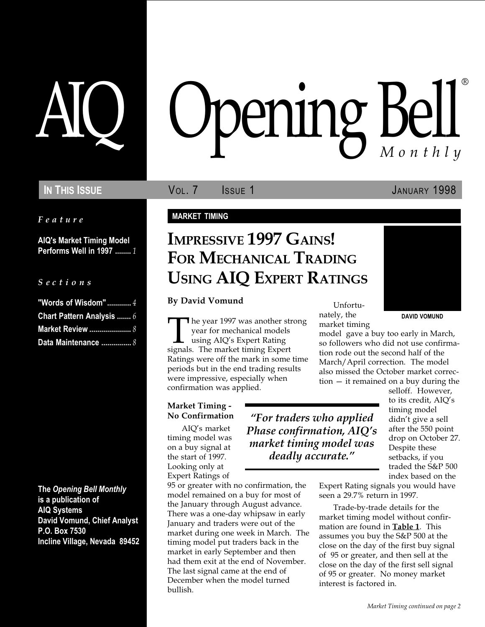Feature

AIQ's Market Timing Model Performs Well in 1997 ........ 1

#### S e c t i o n s

| "Words of Wisdom" $4$            |  |
|----------------------------------|--|
| <b>Chart Pattern Analysis  6</b> |  |
| Market Review  8                 |  |
| Data Maintenance  8              |  |

The Opening Bell Monthly is a publication of AIQ Systems David Vomund, Chief Analyst P.O. Box 7530 Incline Village, Nevada 89452

# pening Bell ®

IN THIS ISSUE **VOL. 7** ISSUE 1 JANUARY 1998

#### MARKET TIMING

## IMPRESSIVE 1997 GAINS! FOR MECHANICAL TRADING USING AIQ EXPERT RATINGS

## By David Vomund Unfortu-

The year 1997 was another strong<br>
year for mechanical models<br>
using AIQ's Expert Rating<br>
signals. The market timing Expert year for mechanical models using AIQ's Expert Rating Ratings were off the mark in some time periods but in the end trading results were impressive, especially when confirmation was applied.

#### Market Timing - No Confirmation

AIQ's market timing model was on a buy signal at the start of 1997. Looking only at Expert Ratings of

95 or greater with no confirmation, the model remained on a buy for most of the January through August advance. There was a one-day whipsaw in early January and traders were out of the market during one week in March. The timing model put traders back in the market in early September and then had them exit at the end of November. The last signal came at the end of December when the model turned bullish.

nately, the market timing

For traders who applied Phase confirmation, AIQ's market timing model was deadly accurate."



model gave a buy too early in March, so followers who did not use confirmation rode out the second half of the March/April correction. The model also missed the October market correction  $-$  it remained on a buy during the

selloff. However, to its credit, AIQ's timing model didn't give a sell after the 550 point drop on October 27. Despite these setbacks, if you traded the S&P 500 index based on the

Expert Rating signals you would have seen a 29.7% return in 1997.

Trade-by-trade details for the market timing model without confirmation are found in Table 1. This assumes you buy the S&P 500 at the close on the day of the first buy signal of 95 or greater, and then sell at the close on the day of the first sell signal of 95 or greater. No money market interest is factored in.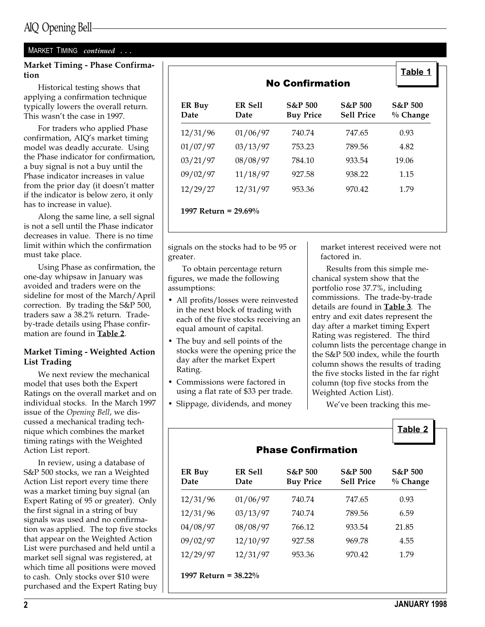#### MARKET TIMING continued ...

#### Market Timing - Phase Confirmation

Historical testing shows that applying a confirmation technique typically lowers the overall return. This wasn't the case in 1997.

For traders who applied Phase confirmation, AIQ's market timing model was deadly accurate. Using the Phase indicator for confirmation, a buy signal is not a buy until the Phase indicator increases in value from the prior day (it doesn't matter if the indicator is below zero, it only has to increase in value).

Along the same line, a sell signal is not a sell until the Phase indicator decreases in value. There is no time limit within which the confirmation must take place.

Using Phase as confirmation, the one-day whipsaw in January was avoided and traders were on the sideline for most of the March/April correction. By trading the S&P 500, traders saw a 38.2% return. Tradeby-trade details using Phase confirmation are found in Table 2.

#### Market Timing - Weighted Action List Trading

We next review the mechanical model that uses both the Expert Ratings on the overall market and on individual stocks. In the March 1997 issue of the Opening Bell, we discussed a mechanical trading technique which combines the market timing ratings with the Weighted Action List report.

In review, using a database of S&P 500 stocks, we ran a Weighted Action List report every time there was a market timing buy signal (an Expert Rating of 95 or greater). Only the first signal in a string of buy signals was used and no confirmation was applied. The top five stocks that appear on the Weighted Action List were purchased and held until a market sell signal was registered, at which time all positions were moved to cash. Only stocks over \$10 were purchased and the Expert Rating buy

|                        |                 |                                        |                                         | Table 1                          |  |  |
|------------------------|-----------------|----------------------------------------|-----------------------------------------|----------------------------------|--|--|
| <b>No Confirmation</b> |                 |                                        |                                         |                                  |  |  |
| ER Buy<br>Date         | ER Sell<br>Date | <b>S&amp;P 500</b><br><b>Buy Price</b> | <b>S&amp;P 500</b><br><b>Sell Price</b> | <b>S&amp;P 500</b><br>$%$ Change |  |  |
| 12/31/96               | 01/06/97        | 740.74                                 | 747.65                                  | 0.93                             |  |  |
| 01/07/97               | 03/13/97        | 753.23                                 | 789.56                                  | 4.82                             |  |  |
| 03/21/97               | 08/08/97        | 784.10                                 | 933.54                                  | 19.06                            |  |  |
| 09/02/97               | 11/18/97        | 927.58                                 | 938.22                                  | 1.15                             |  |  |
| 12/29/27               | 12/31/97        | 953.36                                 | 970.42                                  | 1.79                             |  |  |

signals on the stocks had to be 95 or greater.

To obtain percentage return figures, we made the following assumptions:

- All profits/losses were reinvested in the next block of trading with each of the five stocks receiving an equal amount of capital.
- The buy and sell points of the stocks were the opening price the day after the market Expert Rating.
- Commissions were factored in using a flat rate of \$33 per trade.
- Slippage, dividends, and money

market interest received were not factored in.

Results from this simple mechanical system show that the portfolio rose 37.7%, including commissions. The trade-by-trade details are found in Table 3. The entry and exit dates represent the day after a market timing Expert Rating was registered. The third column lists the percentage change in the S&P 500 index, while the fourth column shows the results of trading the five stocks listed in the far right column (top five stocks from the Weighted Action List).

We've been tracking this me-

|                         |                 |                                        |                                         | <b>Table 2</b>                 |  |  |
|-------------------------|-----------------|----------------------------------------|-----------------------------------------|--------------------------------|--|--|
|                         |                 |                                        |                                         |                                |  |  |
| ER Buy<br>Date          | ER Sell<br>Date | <b>S&amp;P 500</b><br><b>Buy Price</b> | <b>S&amp;P 500</b><br><b>Sell Price</b> | <b>S&amp;P 500</b><br>% Change |  |  |
| 12/31/96                | 01/06/97        | 740.74                                 | 747.65                                  | 0.93                           |  |  |
| 12/31/96                | 03/13/97        | 740.74                                 | 789.56                                  | 6.59                           |  |  |
| 04/08/97                | 08/08/97        | 766.12                                 | 933.54                                  | 21.85                          |  |  |
| 09/02/97                | 12/10/97        | 927.58                                 | 969.78                                  | 4.55                           |  |  |
| 12/29/97                | 12/31/97        | 953.36                                 | 970.42                                  | 1.79                           |  |  |
| 1997 Return = $38.22\%$ |                 |                                        |                                         |                                |  |  |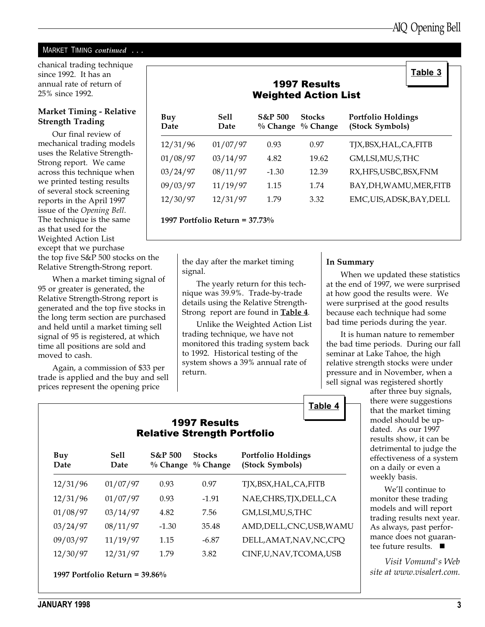#### MARKET TIMING continued ...

chanical trading technique since 1992. It has an annual rate of return of 25% since 1992.

#### Market Timing - Relative Strength Trading

Our final review of mechanical trading models uses the Relative Strength-Strong report. We came across this technique when we printed testing results of several stock screening reports in the April 1997 issue of the Opening Bell. The technique is the same as that used for the Weighted Action List except that we purchase the top five S&P 500 stocks on the Relative Strength-Strong report.

When a market timing signal of 95 or greater is generated, the Relative Strength-Strong report is generated and the top five stocks in the long term section are purchased and held until a market timing sell signal of 95 is registered, at which time all positions are sold and moved to cash.

Again, a commission of \$33 per trade is applied and the buy and sell prices represent the opening price

| <b>1997 Results</b><br><b>Weighted Action List</b> |               |                                  |                             |                                              |  |  |  |
|----------------------------------------------------|---------------|----------------------------------|-----------------------------|----------------------------------------------|--|--|--|
| Buy<br>Date                                        | Sell.<br>Date | <b>S&amp;P 500</b><br>$%$ Change | <b>Stocks</b><br>$%$ Change | <b>Portfolio Holdings</b><br>(Stock Symbols) |  |  |  |
| 12/31/96                                           | 01/07/97      | 0.93                             | 0.97                        | TJX,BSX,HAL,CA,FITB                          |  |  |  |
| 01/08/97                                           | 03/14/97      | 4.82                             | 19.62                       | GM,LSI,MU,S,THC                              |  |  |  |
| 03/24/97                                           | 08/11/97      | $-1.30$                          | 12.39                       | RX, HFS, USBC, BSX, FNM                      |  |  |  |
| 09/03/97                                           | 11/19/97      | 1.15                             | 1.74                        | BAY,DH,WAMU,MER,FITB                         |  |  |  |
| 12/30/97                                           | 12/31/97      | 1.79                             | 3.32                        | EMC, UIS, ADSK, BAY, DELL                    |  |  |  |

1997 Portfolio Return = 37.73%

the day after the market timing signal.

The yearly return for this technique was 39.9%. Trade-by-trade details using the Relative Strength-Strong report are found in Table 4.

Unlike the Weighted Action List trading technique, we have not monitored this trading system back to 1992. Historical testing of the system shows a 39% annual rate of return.

#### In Summary

Table 4

When we updated these statistics at the end of 1997, we were surprised at how good the results were. We were surprised at the good results because each technique had some bad time periods during the year.

It is human nature to remember the bad time periods. During our fall seminar at Lake Tahoe, the high relative strength stocks were under pressure and in November, when a sell signal was registered shortly

after three buy signals, there were suggestions that the market timing model should be updated. As our 1997 results show, it can be detrimental to judge the effectiveness of a system on a daily or even a weekly basis.

We'll continue to monitor these trading models and will report trading results next year. As always, past performance does not guarantee future results.  $\blacksquare$ 

Visit Vomund's Web site at www.visalert.com.

#### 1997 Results Relative Strength Portfolio

| Buy<br>Date | <b>Sell</b><br>Date | <b>S&amp;P 500</b><br>$%$ Change | <b>Stocks</b><br>$\%$ Change | Portfolio Holdings<br>(Stock Symbols) |
|-------------|---------------------|----------------------------------|------------------------------|---------------------------------------|
| 12/31/96    | 01/07/97            | 0.93                             | 0.97                         | TJX,BSX,HAL,CA,FITB                   |
| 12/31/96    | 01/07/97            | 0.93                             | $-1.91$                      | NAE,CHRS,TJX,DELL,CA                  |
| 01/08/97    | 03/14/97            | 4.82                             | 7.56                         | GM,LSI,MU,S,THC                       |
| 03/24/97    | 08/11/97            | $-1.30$                          | 35.48                        | AMD, DELL, CNC, USB, WAMU             |
| 09/03/97    | 11/19/97            | 1.15                             | $-6.87$                      | DELL, AMAT, NAV, NC, CPQ              |
| 12/30/97    | 12/31/97            | 1.79                             | 3.82                         | CINF,U,NAV,TCOMA,USB                  |
|             |                     |                                  |                              |                                       |

1997 Portfolio Return = 39.86%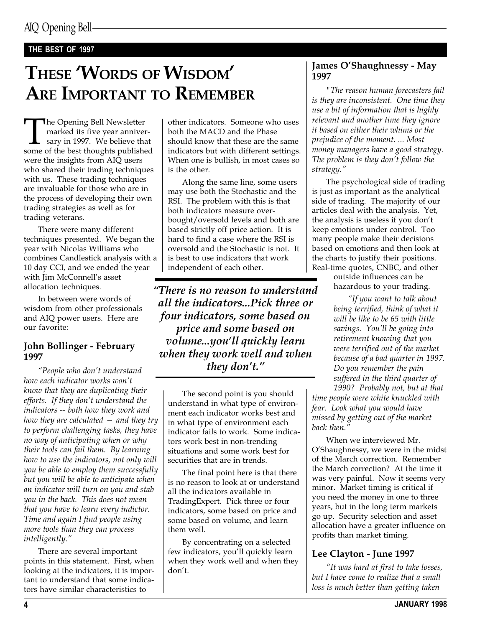#### THE BEST OF 1997

# THESE 'WORDS OF WISDOM' ARE IMPORTANT TO REMEMBER

The Opening Bell Newsletter<br>marked its five year anniver-<br>sary in 1997. We believe that<br>some of the best thoughts published marked its five year anniversary in 1997. We believe that were the insights from AIQ users who shared their trading techniques with us. These trading techniques are invaluable for those who are in the process of developing their own trading strategies as well as for trading veterans.

There were many different techniques presented. We began the year with Nicolas Williams who combines Candlestick analysis with a 10 day CCI, and we ended the year with Jim McConnell's asset allocation techniques.

In between were words of wisdom from other professionals and AIQ power users. Here are our favorite:

#### John Bollinger - February 1997

"People who don't understand how each indicator works won't know that they are duplicating their efforts. If they don't understand the indicators -- both how they work and how they are calculated  $-$  and they try to perform challenging tasks, they have no way of anticipating when or why their tools can fail them. By learning how to use the indicators, not only will you be able to employ them successfully but you will be able to anticipate when an indicator will turn on you and stab you in the back. This does not mean that you have to learn every indictor. Time and again I find people using more tools than they can process intelligently.

There are several important points in this statement. First, when looking at the indicators, it is important to understand that some indicators have similar characteristics to

other indicators. Someone who uses both the MACD and the Phase should know that these are the same indicators but with different settings. When one is bullish, in most cases so is the other.

Along the same line, some users may use both the Stochastic and the RSI. The problem with this is that both indicators measure overbought/oversold levels and both are based strictly off price action. It is hard to find a case where the RSI is oversold and the Stochastic is not. It is best to use indicators that work independent of each other.

There is no reason to understand all the indicators...Pick three or four indicators, some based on price and some based on volume...you'll quickly learn when they work well and when they don't."

The second point is you should understand in what type of environment each indicator works best and in what type of environment each indicator fails to work. Some indicators work best in non-trending situations and some work best for securities that are in trends.

The final point here is that there is no reason to look at or understand all the indicators available in TradingExpert. Pick three or four indicators, some based on price and some based on volume, and learn them well.

By concentrating on a selected few indicators, you'll quickly learn when they work well and when they don't.

#### James O'Shaughnessy - May 1997

"The reason human forecasters fail is they are inconsistent. One time they use a bit of information that is highly relevant and another time they ignore it based on either their whims or the prejudice of the moment. ... Most money managers have a good strategy. The problem is they don't follow the strategy.

The psychological side of trading is just as important as the analytical side of trading. The majority of our articles deal with the analysis. Yet, the analysis is useless if you don't keep emotions under control. Too many people make their decisions based on emotions and then look at the charts to justify their positions. Real-time quotes, CNBC, and other

outside influences can be hazardous to your trading.

"If you want to talk about being terrified, think of what it will be like to be 65 with little savings. You'll be going into retirement knowing that you were terrified out of the market because of a bad quarter in 1997. Do you remember the pain suffered in the third quarter of 1990? Probably not, but at that

time people were white knuckled with fear. Look what you would have missed by getting out of the market back then.'

When we interviewed Mr. O'Shaughnessy, we were in the midst of the March correction. Remember the March correction? At the time it was very painful. Now it seems very minor. Market timing is critical if you need the money in one to three years, but in the long term markets go up. Security selection and asset allocation have a greater influence on profits than market timing.

#### Lee Clayton - June 1997

"It was hard at first to take losses, but I have come to realize that a small loss is much better than getting taken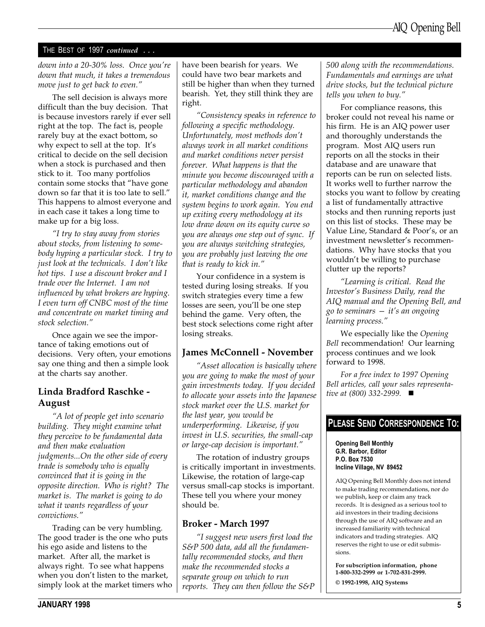#### THE BEST OF 1997 continued ...

down into a 20-30% loss. Once you're down that much, it takes a tremendous move just to get back to even."

The sell decision is always more difficult than the buy decision. That is because investors rarely if ever sell right at the top. The fact is, people rarely buy at the exact bottom, so why expect to sell at the top. It's critical to decide on the sell decision when a stock is purchased and then stick to it. Too many portfolios contain some stocks that "have gone down so far that it is too late to sell. This happens to almost everyone and in each case it takes a long time to make up for a big loss.

I try to stay away from stories about stocks, from listening to somebody hyping a particular stock. I try to just look at the technicals. I don't like hot tips. I use a discount broker and I trade over the Internet. I am not influenced by what brokers are hyping. I even turn off CNBC most of the time and concentrate on market timing and stock selection.

Once again we see the importance of taking emotions out of decisions. Very often, your emotions say one thing and then a simple look at the charts say another.

#### Linda Bradford Raschke - August

A lot of people get into scenario building. They might examine what they perceive to be fundamental data and then make evaluation judgments...On the other side of every trade is somebody who is equally convinced that it is going in the opposite direction. Who is right? The market is. The market is going to do what it wants regardless of your convictions.

Trading can be very humbling. The good trader is the one who puts his ego aside and listens to the market. After all, the market is always right. To see what happens when you don't listen to the market, simply look at the market timers who have been bearish for years. We could have two bear markets and still be higher than when they turned bearish. Yet, they still think they are right.

Consistency speaks in reference to following a specific methodology. Unfortunately, most methods don't always work in all market conditions and market conditions never persist forever. What happens is that the minute you become discouraged with a particular methodology and abandon it, market conditions change and the system begins to work again. You end up exiting every methodology at its low draw down on its equity curve so you are always one step out of sync. If you are always switching strategies, you are probably just leaving the one that is ready to kick in.

Your confidence in a system is tested during losing streaks. If you switch strategies every time a few losses are seen, you'll be one step behind the game. Very often, the best stock selections come right after losing streaks.

#### James McConnell - November

Asset allocation is basically where you are going to make the most of your gain investments today. If you decided to allocate your assets into the Japanese stock market over the U.S. market for the last year, you would be underperforming. Likewise, if you invest in U.S. securities, the small-cap or large-cap decision is important.

The rotation of industry groups is critically important in investments. Likewise, the rotation of large-cap versus small-cap stocks is important. These tell you where your money should be.

#### Broker - March 1997

I suggest new users first load the S&P 500 data, add all the fundamentally recommended stocks, and then make the recommended stocks a separate group on which to run reports. They can then follow the S&P 500 along with the recommendations. Fundamentals and earnings are what drive stocks, but the technical picture tells you when to buy.

For compliance reasons, this broker could not reveal his name or his firm. He is an AIQ power user and thoroughly understands the program. Most AIQ users run reports on all the stocks in their database and are unaware that reports can be run on selected lists. It works well to further narrow the stocks you want to follow by creating a list of fundamentally attractive stocks and then running reports just on this list of stocks. These may be Value Line, Standard & Poor's, or an investment newsletter's recommendations. Why have stocks that you wouldn't be willing to purchase clutter up the reports?

Learning is critical. Read the Investor's Business Daily, read the AIQ manual and the Opening Bell, and go to seminars  $-$  it's an ongoing learning process."

We especially like the Opening Bell recommendation! Our learning process continues and we look forward to 1998.

For a free index to 1997 Opening Bell articles, call your sales representative at  $(800)$  332-2999.  $\blacksquare$ 

#### PLEASE SEND CORRESPONDENCE TO:

Opening Bell Monthly G.R. Barbor, Editor P.O. Box 7530 Incline Village, NV 89452

AIQ Opening Bell Monthly does not intend to make trading recommendations, nor do we publish, keep or claim any track records. It is designed as a serious tool to aid investors in their trading decisions through the use of AIQ software and an increased familiarity with technical indicators and trading strategies. AIQ reserves the right to use or edit submissions.

For subscription information, phone 1-800-332-2999 or 1-702-831-2999. © 1992-1998, AIQ Systems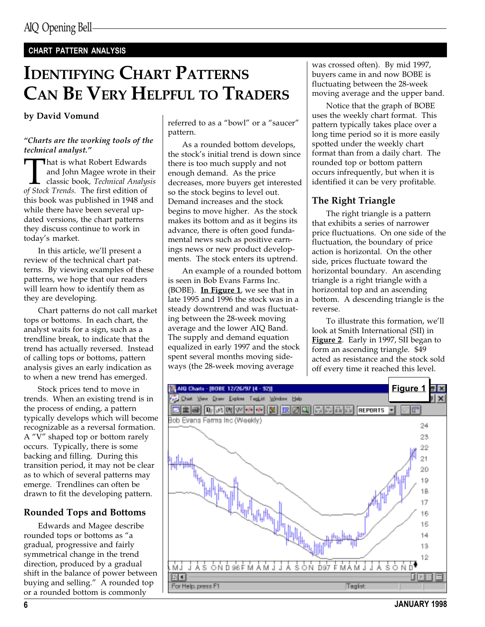#### CHART PATTERN ANALYSIS

# IDENTIFYING CHART PATTERNS CAN BE VERY HELPFUL TO TRADERS

#### by David Vomund

#### Charts are the working tools of the technical analyst.

That is what Robert Edwards<br>and John Magee wrote in the<br>classic book, *Technical Analy*<br>of Stock Trends. The first edition of and John Magee wrote in their classic book, Technical Analysis this book was published in 1948 and while there have been several updated versions, the chart patterns they discuss continue to work in today's market.

In this article, we'll present a review of the technical chart patterns. By viewing examples of these patterns, we hope that our readers will learn how to identify them as they are developing.

Chart patterns do not call market tops or bottoms. In each chart, the analyst waits for a sign, such as a trendline break, to indicate that the trend has actually reversed. Instead of calling tops or bottoms, pattern analysis gives an early indication as to when a new trend has emerged.

Stock prices tend to move in trends. When an existing trend is in the process of ending, a pattern typically develops which will become recognizable as a reversal formation. A " $V$ " shaped top or bottom rarely occurs. Typically, there is some backing and filling. During this transition period, it may not be clear as to which of several patterns may emerge. Trendlines can often be drawn to fit the developing pattern.

### Rounded Tops and Bottoms

Edwards and Magee describe rounded tops or bottoms as "a gradual, progressive and fairly symmetrical change in the trend direction, produced by a gradual shift in the balance of power between buying and selling." A rounded top or a rounded bottom is commonly

referred to as a "bowl" or a "saucer" pattern.

As a rounded bottom develops, the stock's initial trend is down since there is too much supply and not enough demand. As the price decreases, more buyers get interested so the stock begins to level out. Demand increases and the stock begins to move higher. As the stock makes its bottom and as it begins its advance, there is often good fundamental news such as positive earnings news or new product developments. The stock enters its uptrend.

An example of a rounded bottom is seen in Bob Evans Farms Inc.  $(BOBE)$ . In Figure 1, we see that in late 1995 and 1996 the stock was in a steady downtrend and was fluctuating between the 28-week moving average and the lower AIQ Band. The supply and demand equation equalized in early 1997 and the stock spent several months moving sideways (the 28-week moving average

was crossed often). By mid 1997, buyers came in and now BOBE is fluctuating between the 28-week moving average and the upper band.

Notice that the graph of BOBE uses the weekly chart format. This pattern typically takes place over a long time period so it is more easily spotted under the weekly chart format than from a daily chart. The rounded top or bottom pattern occurs infrequently, but when it is identified it can be very profitable.

## The Right Triangle

The right triangle is a pattern that exhibits a series of narrower price fluctuations. On one side of the fluctuation, the boundary of price action is horizontal. On the other side, prices fluctuate toward the horizontal boundary. An ascending triangle is a right triangle with a horizontal top and an ascending bottom. A descending triangle is the reverse.

To illustrate this formation, we'll look at Smith International (SII) in Figure 2. Early in 1997, SII began to form an ascending triangle. \$49 acted as resistance and the stock sold off every time it reached this level.

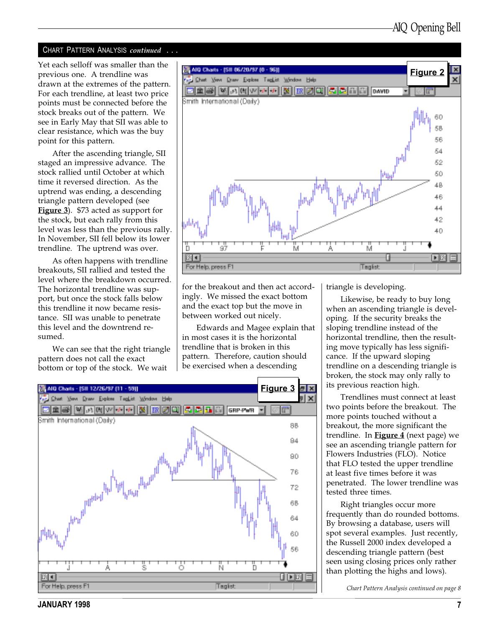#### CHART PATTERN ANALYSIS continued ...

Yet each selloff was smaller than the previous one. A trendline was drawn at the extremes of the pattern. For each trendline, at least two price points must be connected before the stock breaks out of the pattern. We see in Early May that SII was able to clear resistance, which was the buy point for this pattern.

After the ascending triangle, SII staged an impressive advance. The stock rallied until October at which time it reversed direction. As the uptrend was ending, a descending triangle pattern developed (see **Figure 3**). \$73 acted as support for the stock, but each rally from this level was less than the previous rally. In November, SII fell below its lower trendline. The uptrend was over.

As often happens with trendline breakouts, SII rallied and tested the level where the breakdown occurred. The horizontal trendline was support, but once the stock falls below this trendline it now became resistance. SII was unable to penetrate this level and the downtrend resumed.

We can see that the right triangle pattern does not call the exact bottom or top of the stock. We wait



for the breakout and then act accordingly. We missed the exact bottom and the exact top but the move in between worked out nicely.

Edwards and Magee explain that in most cases it is the horizontal trendline that is broken in this pattern. Therefore, caution should be exercised when a descending



triangle is developing.

Likewise, be ready to buy long when an ascending triangle is developing. If the security breaks the sloping trendline instead of the horizontal trendline, then the resulting move typically has less significance. If the upward sloping trendline on a descending triangle is broken, the stock may only rally to its previous reaction high.

Trendlines must connect at least two points before the breakout. The more points touched without a breakout, the more significant the trendline. In Figure  $\frac{4}{1}$  (next page) we see an ascending triangle pattern for Flowers Industries (FLO). Notice that FLO tested the upper trendline at least five times before it was penetrated. The lower trendline was tested three times.

Right triangles occur more frequently than do rounded bottoms. By browsing a database, users will spot several examples. Just recently, the Russell 2000 index developed a descending triangle pattern (best seen using closing prices only rather than plotting the highs and lows).

Chart Pattern Analysis continued on page 8